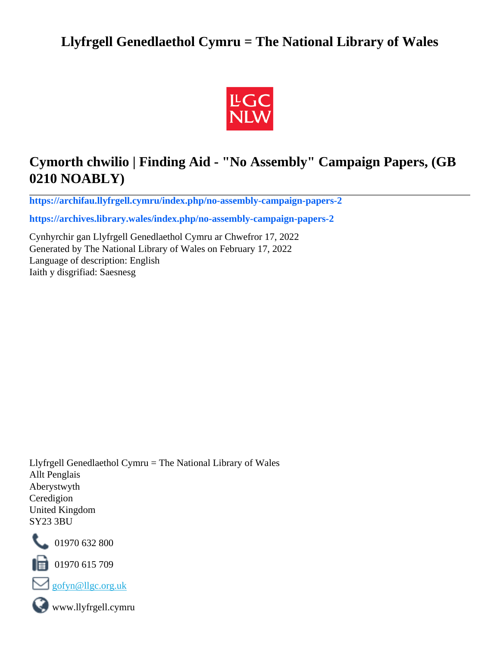# **Llyfrgell Genedlaethol Cymru = The National Library of Wales**



# **Cymorth chwilio | Finding Aid - "No Assembly" Campaign Papers, (GB 0210 NOABLY)**

**[https://archifau.llyfrgell.cymru/index.php/no-assembly-campaign-papers-2](https://archifau.llyfrgell.cymru/index.php/no-assembly-campaign-papers-2;isad?sf_culture=cy)**

**[https://archives.library.wales/index.php/no-assembly-campaign-papers-2](https://archives.library.wales/index.php/no-assembly-campaign-papers-2;isad?sf_culture=en)**

Cynhyrchir gan Llyfrgell Genedlaethol Cymru ar Chwefror 17, 2022 Generated by The National Library of Wales on February 17, 2022 Language of description: English Iaith y disgrifiad: Saesnesg

Llyfrgell Genedlaethol Cymru = The National Library of Wales Allt Penglais Aberystwyth Ceredigion United Kingdom SY23 3BU



101970 632 800

 $\blacksquare$  01970 615 709



www.llyfrgell.cymru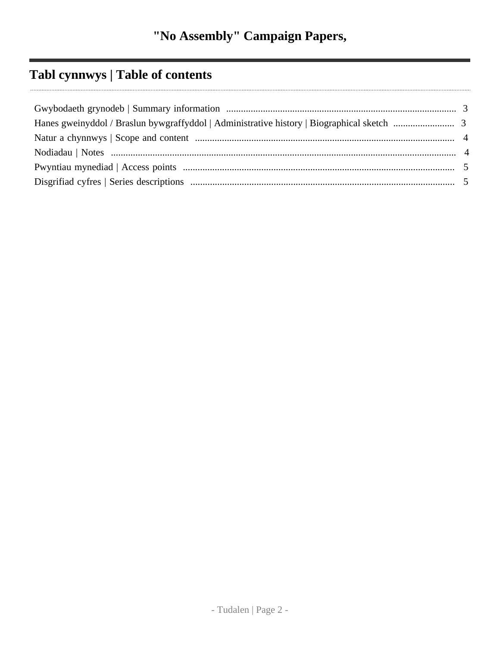# **Tabl cynnwys | Table of contents**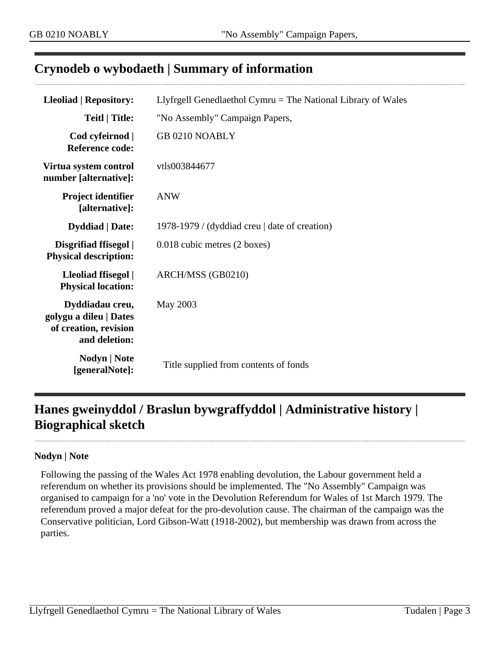## <span id="page-2-0"></span>**Crynodeb o wybodaeth | Summary of information**

| <b>Lleoliad   Repository:</b>                                                       | Llyfrgell Genedlaethol Cymru $=$ The National Library of Wales |  |
|-------------------------------------------------------------------------------------|----------------------------------------------------------------|--|
| <b>Teitl</b>   Title:                                                               | "No Assembly" Campaign Papers,                                 |  |
| Cod cyfeirnod  <br><b>Reference code:</b>                                           | <b>GB 0210 NOABLY</b>                                          |  |
| Virtua system control<br>number [alternative]:                                      | vtls003844677                                                  |  |
| <b>Project identifier</b><br>[alternative]:                                         | <b>ANW</b>                                                     |  |
| <b>Dyddiad</b>   Date:                                                              | 1978-1979 / (dyddiad creu   date of creation)                  |  |
| Disgrifiad ffisegol  <br><b>Physical description:</b>                               | 0.018 cubic metres (2 boxes)                                   |  |
| Lleoliad ffisegol  <br><b>Physical location:</b>                                    | ARCH/MSS (GB0210)                                              |  |
| Dyddiadau creu,<br>golygu a dileu   Dates<br>of creation, revision<br>and deletion: | May 2003                                                       |  |
| <b>Nodyn</b>   <b>Note</b><br>[generalNote]:                                        | Title supplied from contents of fonds                          |  |

# <span id="page-2-1"></span>**Hanes gweinyddol / Braslun bywgraffyddol | Administrative history | Biographical sketch**

#### **Nodyn | Note**

Following the passing of the Wales Act 1978 enabling devolution, the Labour government held a referendum on whether its provisions should be implemented. The "No Assembly" Campaign was organised to campaign for a 'no' vote in the Devolution Referendum for Wales of 1st March 1979. The referendum proved a major defeat for the pro-devolution cause. The chairman of the campaign was the Conservative politician, Lord Gibson-Watt (1918-2002), but membership was drawn from across the parties.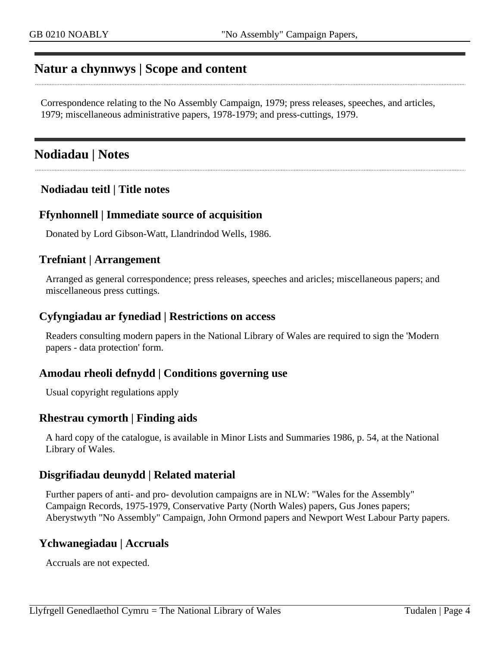## <span id="page-3-0"></span>**Natur a chynnwys | Scope and content**

Correspondence relating to the No Assembly Campaign, 1979; press releases, speeches, and articles, 1979; miscellaneous administrative papers, 1978-1979; and press-cuttings, 1979.

## <span id="page-3-1"></span>**Nodiadau | Notes**

### **Nodiadau teitl | Title notes**

#### **Ffynhonnell | Immediate source of acquisition**

Donated by Lord Gibson-Watt, Llandrindod Wells, 1986.

#### **Trefniant | Arrangement**

Arranged as general correspondence; press releases, speeches and aricles; miscellaneous papers; and miscellaneous press cuttings.

#### **Cyfyngiadau ar fynediad | Restrictions on access**

Readers consulting modern papers in the National Library of Wales are required to sign the 'Modern papers - data protection' form.

#### **Amodau rheoli defnydd | Conditions governing use**

Usual copyright regulations apply

#### **Rhestrau cymorth | Finding aids**

A hard copy of the catalogue, is available in Minor Lists and Summaries 1986, p. 54, at the National Library of Wales.

#### **Disgrifiadau deunydd | Related material**

Further papers of anti- and pro- devolution campaigns are in NLW: "Wales for the Assembly" Campaign Records, 1975-1979, Conservative Party (North Wales) papers, Gus Jones papers; Aberystwyth "No Assembly" Campaign, John Ormond papers and Newport West Labour Party papers.

### **Ychwanegiadau | Accruals**

Accruals are not expected.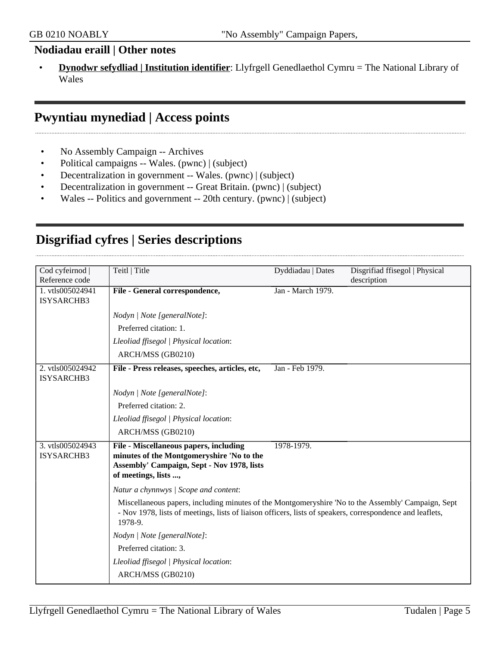### **Nodiadau eraill | Other notes**

• **Dynodwr sefydliad | Institution identifier**: Llyfrgell Genedlaethol Cymru = The National Library of Wales

## <span id="page-4-0"></span>**Pwyntiau mynediad | Access points**

- No Assembly Campaign -- Archives
- Political campaigns -- Wales. (pwnc) | (subject)
- Decentralization in government -- Wales. (pwnc) | (subject)
- Decentralization in government -- Great Britain. (pwnc) | (subject)
- Wales -- Politics and government -- 20th century. (pwnc) | (subject)

## <span id="page-4-1"></span>**Disgrifiad cyfres | Series descriptions**

| Cod cyfeirnod     | Teitl   Title                                                                                                                                                                                                              | Dyddiadau   Dates | Disgrifiad ffisegol   Physical |
|-------------------|----------------------------------------------------------------------------------------------------------------------------------------------------------------------------------------------------------------------------|-------------------|--------------------------------|
| Reference code    |                                                                                                                                                                                                                            |                   | description                    |
| 1. vtls005024941  | File - General correspondence,                                                                                                                                                                                             | Jan - March 1979. |                                |
| ISYSARCHB3        |                                                                                                                                                                                                                            |                   |                                |
|                   | Nodyn   Note [generalNote]:                                                                                                                                                                                                |                   |                                |
|                   | Preferred citation: 1.                                                                                                                                                                                                     |                   |                                |
|                   | Lleoliad ffisegol   Physical location:                                                                                                                                                                                     |                   |                                |
|                   | ARCH/MSS (GB0210)                                                                                                                                                                                                          |                   |                                |
| 2. vtls005024942  | File - Press releases, speeches, articles, etc,                                                                                                                                                                            | Jan - Feb 1979.   |                                |
| <b>ISYSARCHB3</b> |                                                                                                                                                                                                                            |                   |                                |
|                   | Nodyn   Note [generalNote]:                                                                                                                                                                                                |                   |                                |
|                   | Preferred citation: 2.                                                                                                                                                                                                     |                   |                                |
|                   | Lleoliad ffisegol   Physical location:                                                                                                                                                                                     |                   |                                |
|                   | ARCH/MSS (GB0210)                                                                                                                                                                                                          |                   |                                |
| 3. vtls005024943  | File - Miscellaneous papers, including                                                                                                                                                                                     | 1978-1979.        |                                |
| <b>ISYSARCHB3</b> | minutes of the Montgomeryshire 'No to the                                                                                                                                                                                  |                   |                                |
|                   | Assembly' Campaign, Sept - Nov 1978, lists<br>of meetings, lists ,                                                                                                                                                         |                   |                                |
|                   |                                                                                                                                                                                                                            |                   |                                |
|                   | Natur a chynnwys / Scope and content:                                                                                                                                                                                      |                   |                                |
|                   | Miscellaneous papers, including minutes of the Montgomeryshire 'No to the Assembly' Campaign, Sept<br>- Nov 1978, lists of meetings, lists of liaison officers, lists of speakers, correspondence and leaflets,<br>1978-9. |                   |                                |
|                   | Nodyn   Note [generalNote]:                                                                                                                                                                                                |                   |                                |
|                   | Preferred citation: 3.                                                                                                                                                                                                     |                   |                                |
|                   | Lleoliad ffisegol   Physical location:                                                                                                                                                                                     |                   |                                |
|                   | ARCH/MSS (GB0210)                                                                                                                                                                                                          |                   |                                |